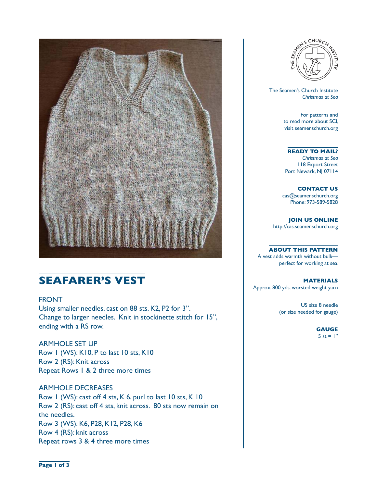

# **SEAFARER'S VEST**

#### FRONT

Using smaller needles, cast on 88 sts. K2, P2 for 3". Change to larger needles. Knit in stockinette stitch for 15", ending with a RS row.

ARMHOLE SET UP Row 1 (WS): K10, P to last 10 sts, K10 Row 2 (RS): Knit across Repeat Rows 1 & 2 three more times

ARMHOLE DECREASES Row 1 (WS): cast off 4 sts, K 6, purl to last 10 sts, K 10 Row 2 (RS): cast off 4 sts, knit across. 80 sts now remain on the needles. Row 3 (WS): K6, P28, K12, P28, K6 Row 4 (RS): knit across Repeat rows 3 & 4 three more times



 The Seamen's Church Institute *Christmas at Sea*

> For patterns and to read more about SCI, visit seamenschurch.org

#### **READY TO MAIL?**

*Christmas at Sea* 118 Export Street Port Newark, NJ 07114

**CONTACT US** cas@seamenschurch.org Phone: 973-589-5828

**JOIN US ONLINE**  http://cas.seamenschurch.org

**ABOUT THIS PATTERN**

A vest adds warmth without bulk perfect for working at sea.

**MATERIALS** Approx. 800 yds. worsted weight yarn

> US size 8 needle (or size needed for gauge)

> > **GAUGE** 5 st =  $\mathsf{I}$ "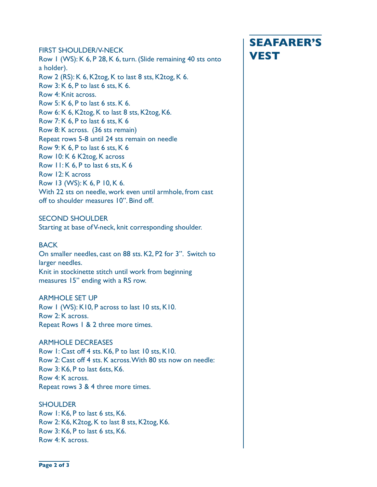## FIRST SHOULDER/V-NECK<br>Row 1 (WS): K 6, P 28, K 6, turn. (Slide remaining 40 sts onto **VEST** a holder). Row 2 (RS): K 6, K2tog, K to last 8 sts, K2tog, K 6. Row 3: K 6, P to last 6 sts, K 6. Row 4: Knit across. Row 5: K 6, P to last 6 sts. K 6. Row 6: K 6, K2tog, K to last 8 sts, K2tog, K6. Row 7: K 6, P to last 6 sts, K 6 Row 8: K across. (36 sts remain) Repeat rows 5-8 until 24 sts remain on needle Row 9: K 6, P to last 6 sts, K 6 Row 10: K 6 K2tog, K across Row 11: K 6, P to last 6 sts, K 6 Row 12: K across Row 13 (WS): K 6, P 10, K 6. With 22 sts on needle, work even until armhole, from cast off to shoulder measures 10". Bind off.

#### SECOND SHOULDER

Starting at base of V-neck, knit corresponding shoulder.

#### **BACK**

On smaller needles, cast on 88 sts. K2, P2 for 3". Switch to larger needles. Knit in stockinette stitch until work from beginning measures 15" ending with a RS row.

#### ARMHOLE SET UP

Row 1 (WS): K10, P across to last 10 sts, K10. Row 2: K across. Repeat Rows 1 & 2 three more times.

#### ARMHOLE DECREASES

Row 1: Cast off 4 sts. K6, P to last 10 sts, K10. Row 2: Cast off 4 sts. K across. With 80 sts now on needle: Row 3: K6, P to last 6sts, K6. Row 4: K across. Repeat rows 3 & 4 three more times.

#### SHOULDER

Row 1: K6, P to last 6 sts, K6. Row 2: K6, K2tog, K to last 8 sts, K2tog, K6. Row 3: K6, P to last 6 sts, K6. Row 4: K across.

# **SEAFARER'S**